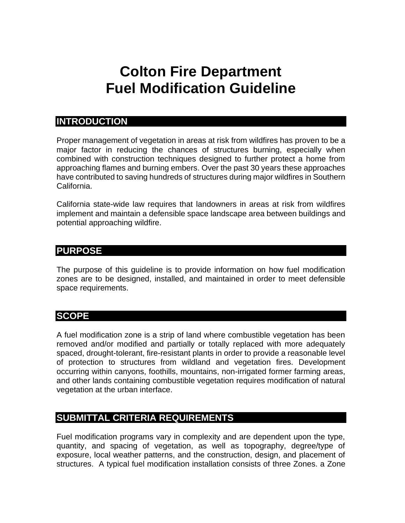### **Colton Fire Department Fuel Modification Guideline**

### **INTRODUCTION**

Proper management of vegetation in areas at risk from wildfires has proven to be a major factor in reducing the chances of structures burning, especially when combined with construction techniques designed to further protect a home from approaching flames and burning embers. Over the past 30 years these approaches have contributed to saving hundreds of structures during major wildfires in Southern California.

California state-wide law requires that landowners in areas at risk from wildfires implement and maintain a defensible space landscape area between buildings and potential approaching wildfire.

### **PURPOSE**

The purpose of this guideline is to provide information on how fuel modification zones are to be designed, installed, and maintained in order to meet defensible space requirements.

### **SCOPE**

A fuel modification zone is a strip of land where combustible vegetation has been removed and/or modified and partially or totally replaced with more adequately spaced, drought-tolerant, fire-resistant plants in order to provide a reasonable level of protection to structures from wildland and vegetation fires. Development occurring within canyons, foothills, mountains, non-irrigated former farming areas, and other lands containing combustible vegetation requires modification of natural vegetation at the urban interface.

### **SUBMITTAL CRITERIA REQUIREMENTS**

Fuel modification programs vary in complexity and are dependent upon the type, quantity, and spacing of vegetation, as well as topography, degree/type of exposure, local weather patterns, and the construction, design, and placement of structures. A typical fuel modification installation consists of three Zones. a Zone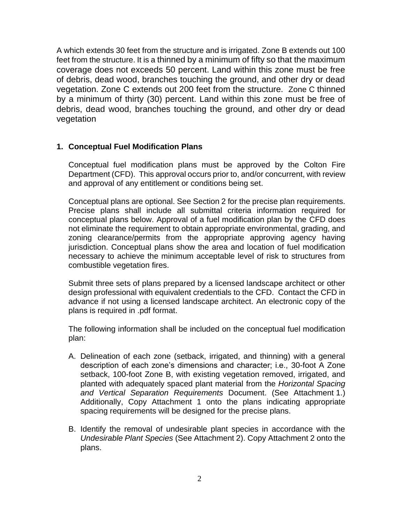A which extends 30 feet from the structure and is irrigated. Zone B extends out 100 feet from the structure. It is a thinned by a minimum of fifty so that the maximum coverage does not exceeds 50 percent. Land within this zone must be free of debris, dead wood, branches touching the ground, and other dry or dead vegetation. Zone C extends out 200 feet from the structure. Zone C thinned by a minimum of thirty (30) percent. Land within this zone must be free of debris, dead wood, branches touching the ground, and other dry or dead vegetation

### **1. Conceptual Fuel Modification Plans**

Conceptual fuel modification plans must be approved by the Colton Fire Department (CFD). This approval occurs prior to, and/or concurrent, with review and approval of any entitlement or conditions being set.

Conceptual plans are optional. See Section 2 for the precise plan requirements. Precise plans shall include all submittal criteria information required for conceptual plans below. Approval of a fuel modification plan by the CFD does not eliminate the requirement to obtain appropriate environmental, grading, and zoning clearance/permits from the appropriate approving agency having jurisdiction. Conceptual plans show the area and location of fuel modification necessary to achieve the minimum acceptable level of risk to structures from combustible vegetation fires.

Submit three sets of plans prepared by a licensed landscape architect or other design professional with equivalent credentials to the CFD. Contact the CFD in advance if not using a licensed landscape architect. An electronic copy of the plans is required in .pdf format.

The following information shall be included on the conceptual fuel modification plan:

- A. Delineation of each zone (setback, irrigated, and thinning) with a general description of each zone's dimensions and character; i.e., 30-foot A Zone setback, 100-foot Zone B, with existing vegetation removed, irrigated, and planted with adequately spaced plant material from the *Horizontal Spacing and Vertical Separation Requirements* Document. (See Attachment 1.) Additionally, Copy Attachment 1 onto the plans indicating appropriate spacing requirements will be designed for the precise plans.
- B. Identify the removal of undesirable plant species in accordance with the *Undesirable Plant Species* (See Attachment 2). Copy Attachment 2 onto the plans.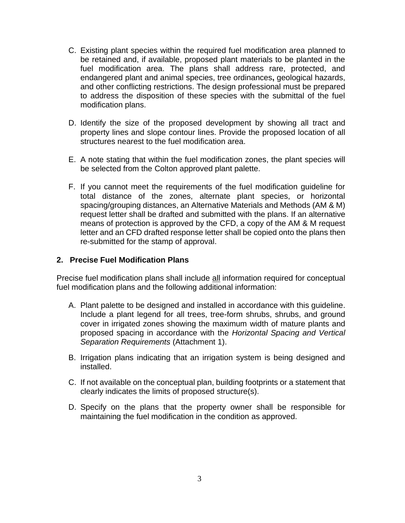- C. Existing plant species within the required fuel modification area planned to be retained and, if available, proposed plant materials to be planted in the fuel modification area. The plans shall address rare, protected, and endangered plant and animal species, tree ordinances**,** geological hazards, and other conflicting restrictions. The design professional must be prepared to address the disposition of these species with the submittal of the fuel modification plans.
- D. Identify the size of the proposed development by showing all tract and property lines and slope contour lines. Provide the proposed location of all structures nearest to the fuel modification area.
- E. A note stating that within the fuel modification zones, the plant species will be selected from the Colton approved plant palette.
- F. If you cannot meet the requirements of the fuel modification guideline for total distance of the zones, alternate plant species, or horizontal spacing/grouping distances, an Alternative Materials and Methods (AM & M) request letter shall be drafted and submitted with the plans. If an alternative means of protection is approved by the CFD, a copy of the AM & M request letter and an CFD drafted response letter shall be copied onto the plans then re-submitted for the stamp of approval.

### **2. Precise Fuel Modification Plans**

Precise fuel modification plans shall include all information required for conceptual fuel modification plans and the following additional information:

- A. Plant palette to be designed and installed in accordance with this guideline. Include a plant legend for all trees, tree-form shrubs, shrubs, and ground cover in irrigated zones showing the maximum width of mature plants and proposed spacing in accordance with the *Horizontal Spacing and Vertical Separation Requirements* (Attachment 1).
- B. Irrigation plans indicating that an irrigation system is being designed and installed.
- C. If not available on the conceptual plan, building footprints or a statement that clearly indicates the limits of proposed structure(s).
- D. Specify on the plans that the property owner shall be responsible for maintaining the fuel modification in the condition as approved.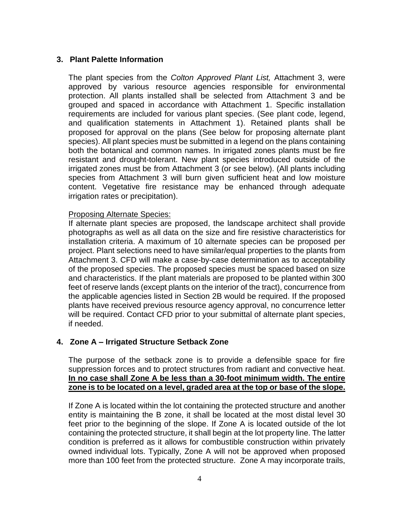### **3. Plant Palette Information**

The plant species from the *Colton Approved Plant List,* Attachment 3, were approved by various resource agencies responsible for environmental protection. All plants installed shall be selected from Attachment 3 and be grouped and spaced in accordance with Attachment 1. Specific installation requirements are included for various plant species. (See plant code, legend, and qualification statements in Attachment 1). Retained plants shall be proposed for approval on the plans (See below for proposing alternate plant species). All plant species must be submitted in a legend on the plans containing both the botanical and common names. In irrigated zones plants must be fire resistant and drought-tolerant. New plant species introduced outside of the irrigated zones must be from Attachment 3 (or see below). (All plants including species from Attachment 3 will burn given sufficient heat and low moisture content. Vegetative fire resistance may be enhanced through adequate irrigation rates or precipitation).

### Proposing Alternate Species:

If alternate plant species are proposed, the landscape architect shall provide photographs as well as all data on the size and fire resistive characteristics for installation criteria. A maximum of 10 alternate species can be proposed per project. Plant selections need to have similar/equal properties to the plants from Attachment 3. CFD will make a case-by-case determination as to acceptability of the proposed species. The proposed species must be spaced based on size and characteristics. If the plant materials are proposed to be planted within 300 feet of reserve lands (except plants on the interior of the tract), concurrence from the applicable agencies listed in Section 2B would be required. If the proposed plants have received previous resource agency approval, no concurrence letter will be required. Contact CFD prior to your submittal of alternate plant species, if needed.

### **4. Zone A – Irrigated Structure Setback Zone**

The purpose of the setback zone is to provide a defensible space for fire suppression forces and to protect structures from radiant and convective heat. **In no case shall Zone A be less than a 30-foot minimum width. The entire zone is to be located on a level, graded area at the top or base of the slope.**

If Zone A is located within the lot containing the protected structure and another entity is maintaining the B zone, it shall be located at the most distal level 30 feet prior to the beginning of the slope. If Zone A is located outside of the lot containing the protected structure, it shall begin at the lot property line. The latter condition is preferred as it allows for combustible construction within privately owned individual lots. Typically, Zone A will not be approved when proposed more than 100 feet from the protected structure. Zone A may incorporate trails,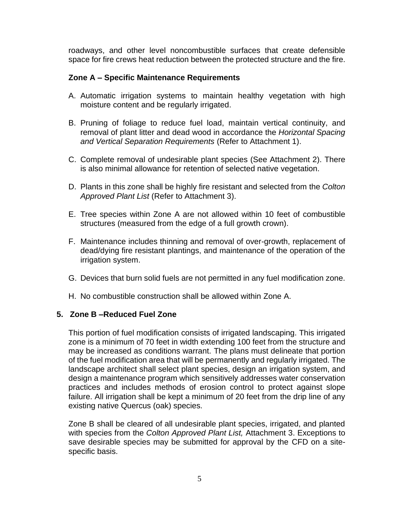roadways, and other level noncombustible surfaces that create defensible space for fire crews heat reduction between the protected structure and the fire.

### **Zone A – Specific Maintenance Requirements**

- A. Automatic irrigation systems to maintain healthy vegetation with high moisture content and be regularly irrigated.
- B. Pruning of foliage to reduce fuel load, maintain vertical continuity, and removal of plant litter and dead wood in accordance the *Horizontal Spacing and Vertical Separation Requirements* (Refer to Attachment 1).
- C. Complete removal of undesirable plant species (See Attachment 2). There is also minimal allowance for retention of selected native vegetation.
- D. Plants in this zone shall be highly fire resistant and selected from the *Colton Approved Plant List* (Refer to Attachment 3).
- E. Tree species within Zone A are not allowed within 10 feet of combustible structures (measured from the edge of a full growth crown).
- F. Maintenance includes thinning and removal of over-growth, replacement of dead/dying fire resistant plantings, and maintenance of the operation of the irrigation system.
- G. Devices that burn solid fuels are not permitted in any fuel modification zone.
- H. No combustible construction shall be allowed within Zone A.

### **5. Zone B –Reduced Fuel Zone**

This portion of fuel modification consists of irrigated landscaping. This irrigated zone is a minimum of 70 feet in width extending 100 feet from the structure and may be increased as conditions warrant. The plans must delineate that portion of the fuel modification area that will be permanently and regularly irrigated. The landscape architect shall select plant species, design an irrigation system, and design a maintenance program which sensitively addresses water conservation practices and includes methods of erosion control to protect against slope failure. All irrigation shall be kept a minimum of 20 feet from the drip line of any existing native Quercus (oak) species.

Zone B shall be cleared of all undesirable plant species, irrigated, and planted with species from the *Colton Approved Plant List,* Attachment 3. Exceptions to save desirable species may be submitted for approval by the CFD on a sitespecific basis.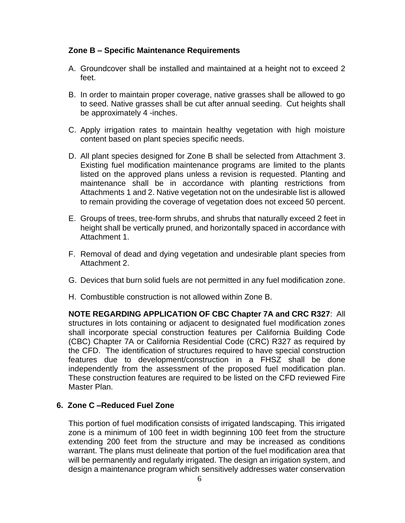### **Zone B – Specific Maintenance Requirements**

- A. Groundcover shall be installed and maintained at a height not to exceed 2 feet.
- B. In order to maintain proper coverage, native grasses shall be allowed to go to seed. Native grasses shall be cut after annual seeding. Cut heights shall be approximately 4 -inches.
- C. Apply irrigation rates to maintain healthy vegetation with high moisture content based on plant species specific needs.
- D. All plant species designed for Zone B shall be selected from Attachment 3. Existing fuel modification maintenance programs are limited to the plants listed on the approved plans unless a revision is requested. Planting and maintenance shall be in accordance with planting restrictions from Attachments 1 and 2. Native vegetation not on the undesirable list is allowed to remain providing the coverage of vegetation does not exceed 50 percent.
- E. Groups of trees, tree-form shrubs, and shrubs that naturally exceed 2 feet in height shall be vertically pruned, and horizontally spaced in accordance with Attachment 1.
- F. Removal of dead and dying vegetation and undesirable plant species from Attachment 2.
- G. Devices that burn solid fuels are not permitted in any fuel modification zone.
- H. Combustible construction is not allowed within Zone B.

**NOTE REGARDING APPLICATION OF CBC Chapter 7A and CRC R327**: All structures in lots containing or adjacent to designated fuel modification zones shall incorporate special construction features per California Building Code (CBC) Chapter 7A or California Residential Code (CRC) R327 as required by the CFD. The identification of structures required to have special construction features due to development/construction in a FHSZ shall be done independently from the assessment of the proposed fuel modification plan. These construction features are required to be listed on the CFD reviewed Fire Master Plan.

### **6. Zone C –Reduced Fuel Zone**

This portion of fuel modification consists of irrigated landscaping. This irrigated zone is a minimum of 100 feet in width beginning 100 feet from the structure extending 200 feet from the structure and may be increased as conditions warrant. The plans must delineate that portion of the fuel modification area that will be permanently and regularly irrigated. The design an irrigation system, and design a maintenance program which sensitively addresses water conservation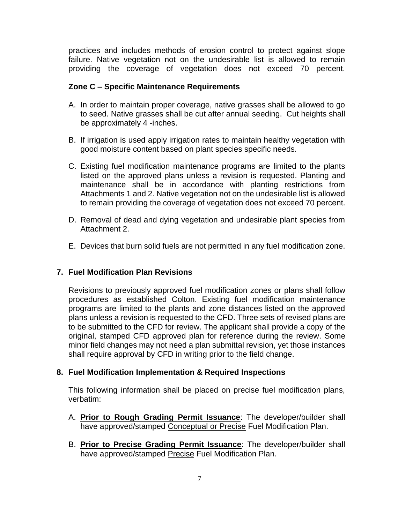practices and includes methods of erosion control to protect against slope failure. Native vegetation not on the undesirable list is allowed to remain providing the coverage of vegetation does not exceed 70 percent.

### **Zone C – Specific Maintenance Requirements**

- A. In order to maintain proper coverage, native grasses shall be allowed to go to seed. Native grasses shall be cut after annual seeding. Cut heights shall be approximately 4 -inches.
- B. If irrigation is used apply irrigation rates to maintain healthy vegetation with good moisture content based on plant species specific needs.
- C. Existing fuel modification maintenance programs are limited to the plants listed on the approved plans unless a revision is requested. Planting and maintenance shall be in accordance with planting restrictions from Attachments 1 and 2. Native vegetation not on the undesirable list is allowed to remain providing the coverage of vegetation does not exceed 70 percent.
- D. Removal of dead and dying vegetation and undesirable plant species from Attachment 2.
- E. Devices that burn solid fuels are not permitted in any fuel modification zone.

### **7. Fuel Modification Plan Revisions**

Revisions to previously approved fuel modification zones or plans shall follow procedures as established Colton. Existing fuel modification maintenance programs are limited to the plants and zone distances listed on the approved plans unless a revision is requested to the CFD. Three sets of revised plans are to be submitted to the CFD for review. The applicant shall provide a copy of the original, stamped CFD approved plan for reference during the review. Some minor field changes may not need a plan submittal revision, yet those instances shall require approval by CFD in writing prior to the field change.

### **8. Fuel Modification Implementation & Required Inspections**

This following information shall be placed on precise fuel modification plans, verbatim:

- A. **Prior to Rough Grading Permit Issuance**: The developer/builder shall have approved/stamped Conceptual or Precise Fuel Modification Plan.
- B. **Prior to Precise Grading Permit Issuance**: The developer/builder shall have approved/stamped Precise Fuel Modification Plan.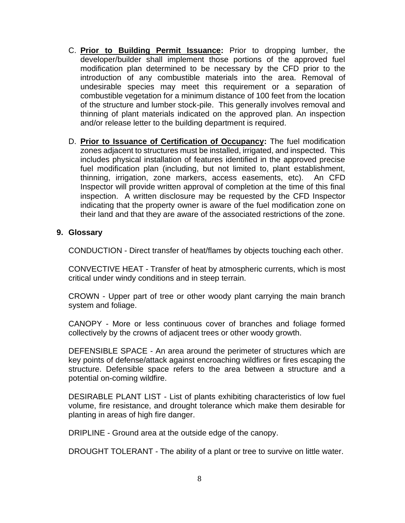- C. **Prior to Building Permit Issuance:** Prior to dropping lumber, the developer/builder shall implement those portions of the approved fuel modification plan determined to be necessary by the CFD prior to the introduction of any combustible materials into the area. Removal of undesirable species may meet this requirement or a separation of combustible vegetation for a minimum distance of 100 feet from the location of the structure and lumber stock-pile. This generally involves removal and thinning of plant materials indicated on the approved plan. An inspection and/or release letter to the building department is required.
- D. **Prior to Issuance of Certification of Occupancy:** The fuel modification zones adjacent to structures must be installed, irrigated, and inspected. This includes physical installation of features identified in the approved precise fuel modification plan (including, but not limited to, plant establishment, thinning, irrigation, zone markers, access easements, etc). An CFD Inspector will provide written approval of completion at the time of this final inspection. A written disclosure may be requested by the CFD Inspector indicating that the property owner is aware of the fuel modification zone on their land and that they are aware of the associated restrictions of the zone.

### **9. Glossary**

CONDUCTION - Direct transfer of heat/flames by objects touching each other.

CONVECTIVE HEAT - Transfer of heat by atmospheric currents, which is most critical under windy conditions and in steep terrain.

CROWN - Upper part of tree or other woody plant carrying the main branch system and foliage.

CANOPY - More or less continuous cover of branches and foliage formed collectively by the crowns of adjacent trees or other woody growth.

DEFENSIBLE SPACE - An area around the perimeter of structures which are key points of defense/attack against encroaching wildfires or fires escaping the structure. Defensible space refers to the area between a structure and a potential on-coming wildfire.

DESIRABLE PLANT LIST - List of plants exhibiting characteristics of low fuel volume, fire resistance, and drought tolerance which make them desirable for planting in areas of high fire danger.

DRIPLINE - Ground area at the outside edge of the canopy.

DROUGHT TOLERANT - The ability of a plant or tree to survive on little water.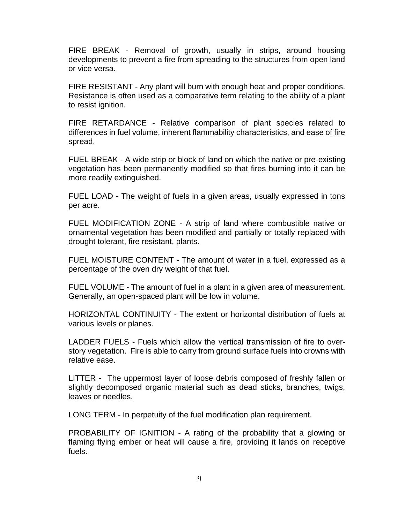FIRE BREAK - Removal of growth, usually in strips, around housing developments to prevent a fire from spreading to the structures from open land or vice versa.

FIRE RESISTANT - Any plant will burn with enough heat and proper conditions. Resistance is often used as a comparative term relating to the ability of a plant to resist ignition.

FIRE RETARDANCE - Relative comparison of plant species related to differences in fuel volume, inherent flammability characteristics, and ease of fire spread.

FUEL BREAK - A wide strip or block of land on which the native or pre-existing vegetation has been permanently modified so that fires burning into it can be more readily extinguished.

FUEL LOAD - The weight of fuels in a given areas, usually expressed in tons per acre.

FUEL MODIFICATION ZONE - A strip of land where combustible native or ornamental vegetation has been modified and partially or totally replaced with drought tolerant, fire resistant, plants.

FUEL MOISTURE CONTENT - The amount of water in a fuel, expressed as a percentage of the oven dry weight of that fuel.

FUEL VOLUME - The amount of fuel in a plant in a given area of measurement. Generally, an open-spaced plant will be low in volume.

HORIZONTAL CONTINUITY - The extent or horizontal distribution of fuels at various levels or planes.

LADDER FUELS - Fuels which allow the vertical transmission of fire to overstory vegetation. Fire is able to carry from ground surface fuels into crowns with relative ease.

LITTER - The uppermost layer of loose debris composed of freshly fallen or slightly decomposed organic material such as dead sticks, branches, twigs, leaves or needles.

LONG TERM - In perpetuity of the fuel modification plan requirement.

PROBABILITY OF IGNITION - A rating of the probability that a glowing or flaming flying ember or heat will cause a fire, providing it lands on receptive fuels.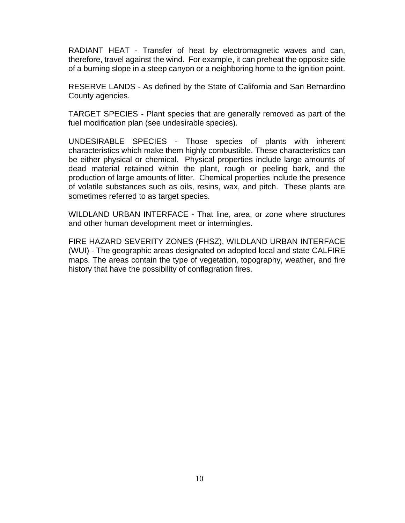RADIANT HEAT - Transfer of heat by electromagnetic waves and can, therefore, travel against the wind. For example, it can preheat the opposite side of a burning slope in a steep canyon or a neighboring home to the ignition point.

RESERVE LANDS - As defined by the State of California and San Bernardino County agencies.

TARGET SPECIES - Plant species that are generally removed as part of the fuel modification plan (see undesirable species).

UNDESIRABLE SPECIES - Those species of plants with inherent characteristics which make them highly combustible. These characteristics can be either physical or chemical. Physical properties include large amounts of dead material retained within the plant, rough or peeling bark, and the production of large amounts of litter. Chemical properties include the presence of volatile substances such as oils, resins, wax, and pitch. These plants are sometimes referred to as target species.

WILDLAND URBAN INTERFACE - That line, area, or zone where structures and other human development meet or intermingles.

FIRE HAZARD SEVERITY ZONES (FHSZ), WILDLAND URBAN INTERFACE (WUI) - The geographic areas designated on adopted local and state CALFIRE maps. The areas contain the type of vegetation, topography, weather, and fire history that have the possibility of conflagration fires.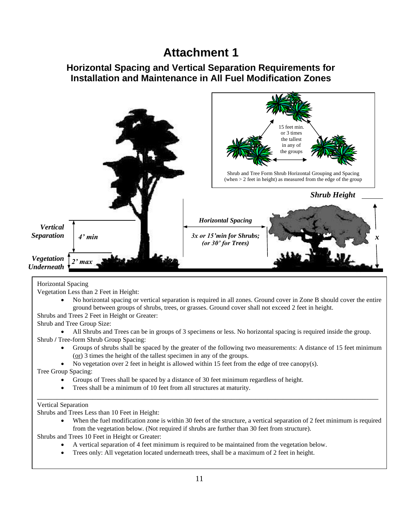### **Attachment 1**

### **Horizontal Spacing and Vertical Separation Requirements for Installation and Maintenance in All Fuel Modification Zones**



Vegetation Less than 2 Feet in Height:

• No horizontal spacing or vertical separation is required in all zones. Ground cover in Zone B should cover the entire ground between groups of shrubs, trees, or grasses. Ground cover shall not exceed 2 feet in height.

Shrubs and Trees 2 Feet in Height or Greater:

Shrub and Tree Group Size:

• All Shrubs and Trees can be in groups of 3 specimens or less. No horizontal spacing is required inside the group. Shrub **/** Tree-form Shrub Group Spacing:

\_\_\_\_\_\_\_\_\_\_\_\_\_\_\_\_\_\_\_\_\_\_\_\_\_\_\_\_\_\_\_\_\_\_\_\_\_\_\_\_\_\_\_\_\_\_\_\_\_\_\_\_\_\_\_\_\_\_\_\_\_\_\_\_\_\_\_\_\_\_\_\_\_\_\_\_\_\_\_\_\_\_\_\_\_\_

- Groups of shrubs shall be spaced by the greater of the following two measurements: A distance of 15 feet minimum (or) 3 times the height of the tallest specimen in any of the groups.
- No vegetation over 2 feet in height is allowed within 15 feet from the edge of tree canopy(s).

Tree Group Spacing:

- Groups of Trees shall be spaced by a distance of 30 feet minimum regardless of height.
- Trees shall be a minimum of 10 feet from all structures at maturity.

#### Vertical Separation

Shrubs and Trees Less than 10 Feet in Height:

When the fuel modification zone is within 30 feet of the structure, a vertical separation of 2 feet minimum is required from the vegetation below. (Not required if shrubs are further than 30 feet from structure).

Shrubs and Trees 10 Feet in Height or Greater:

- **A** Trees 10 Feet in Height or Greater:<br>• A vertical separation of 4 feet minimum is required to be maintained from the vegetation below.
	- Trees only: All vegetation located underneath trees, shall be a maximum of 2 feet in height.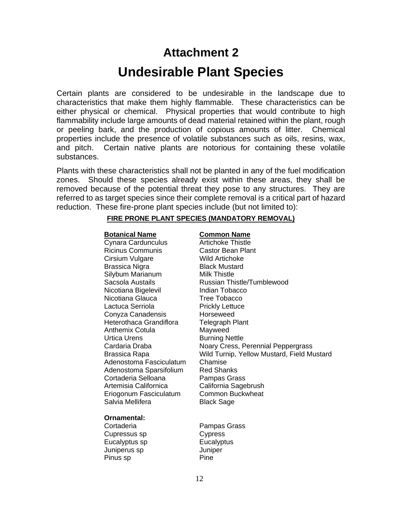# **Attachment 2**

### **Undesirable Plant Species**

Certain plants are considered to be undesirable in the landscape due to characteristics that make them highly flammable. These characteristics can be either physical or chemical. Physical properties that would contribute to high flammability include large amounts of dead material retained within the plant, rough or peeling bark, and the production of copious amounts of litter. Chemical properties include the presence of volatile substances such as oils, resins, wax, and pitch. Certain native plants are notorious for containing these volatile substances.

Plants with these characteristics shall not be planted in any of the fuel modification zones. Should these species already exist within these areas, they shall be removed because of the potential threat they pose to any structures. They are referred to as target species since their complete removal is a critical part of hazard reduction. These fire-prone plant species include (but not limited to):

#### **FIRE PRONE PLANT SPECIES (MANDATORY REMOVAL)**

#### **Botanical Name Common Name**

Cynara Cardunculus **Artichoke Thistle** Ricinus Communis Castor Bean Plant Cirsium Vulgare Wild Artichoke Brassica Nigra Black Mustard Silybum Marianum Milk Thistle Nicotiana Bigelevil **Indian Tobacco** Nicotiana Glauca **Tree Tobacco** Lactuca Serriola **Prickly Lettuce** Conyza Canadensis Horseweed Heterothaca Grandiflora Telegraph Plant Anthemix Cotula Mayweed Urtica Urens Burning Nettle Adenostoma Fasciculatum Chamise Adenostoma Sparsifolium Red Shanks Cortaderia Selloana Pampas Grass Artemisia Californica California Sagebrush Eriogonum Fasciculatum Common Buckwheat Salvia Mellifera Black Sage

#### **Ornamental:**

Cupressus sp Cypress Eucalyptus sp Eucalyptus Juniperus sp Juniper Pinus sp Pine

Sacsola Austails Russian Thistle/Tumblewood Cardaria Draba Noary Cress, Perennial Peppergrass Brassica Rapa Wild Turnip, Yellow Mustard, Field Mustard

Cortaderia Pampas Grass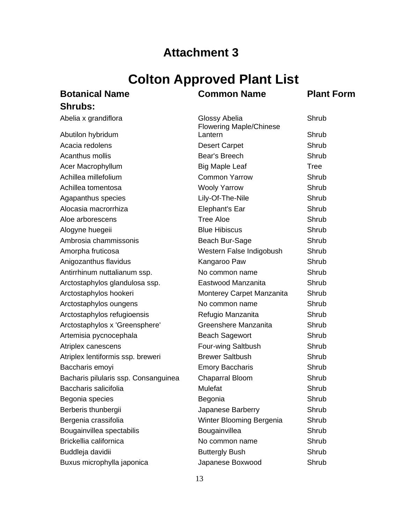### **Attachment 3**

## **Colton Approved Plant List**

## **Shrubs:**

### **Botanical Name Common Name Plant Form**

| Abelia x grandiflora                 | Glossy Abelia<br><b>Flowering Maple/Chinese</b> | Shrub |
|--------------------------------------|-------------------------------------------------|-------|
| Abutilon hybridum                    | Lantern                                         | Shrub |
| Acacia redolens                      | <b>Desert Carpet</b>                            | Shrub |
| Acanthus mollis                      | Bear's Breech                                   | Shrub |
| Acer Macrophyllum                    | <b>Big Maple Leaf</b>                           | Tree  |
| Achillea millefolium                 | <b>Common Yarrow</b>                            | Shrub |
| Achillea tomentosa                   | <b>Wooly Yarrow</b>                             | Shrub |
| Agapanthus species                   | Lily-Of-The-Nile                                | Shrub |
| Alocasia macrorrhiza                 | Elephant's Ear                                  | Shrub |
| Aloe arborescens                     | <b>Tree Aloe</b>                                | Shrub |
| Alogyne huegeii                      | <b>Blue Hibiscus</b>                            | Shrub |
| Ambrosia chammissonis                | Beach Bur-Sage                                  | Shrub |
| Amorpha fruticosa                    | Western False Indigobush                        | Shrub |
| Anigozanthus flavidus                | Kangaroo Paw                                    | Shrub |
| Antirrhinum nuttalianum ssp.         | No common name                                  | Shrub |
| Arctostaphylos glandulosa ssp.       | Eastwood Manzanita                              | Shrub |
| Arctostaphylos hookeri               | Monterey Carpet Manzanita                       | Shrub |
| Arctostaphylos oungens               | No common name                                  | Shrub |
| Arctostaphylos refugioensis          | Refugio Manzanita                               | Shrub |
| Arctostaphylos x 'Greensphere'       | Greenshere Manzanita                            | Shrub |
| Artemisia pycnocephala               | <b>Beach Sagewort</b>                           | Shrub |
| Atriplex canescens                   | Four-wing Saltbush                              | Shrub |
| Atriplex lentiformis ssp. breweri    | <b>Brewer Saltbush</b>                          | Shrub |
| Baccharis emoyi                      | <b>Emory Baccharis</b>                          | Shrub |
| Bacharis pilularis ssp. Consanguinea | <b>Chaparral Bloom</b>                          | Shrub |
| Baccharis salicifolia                | Mulefat                                         | Shrub |
| Begonia species                      | Begonia                                         | Shrub |
| Berberis thunbergii                  | Japanese Barberry                               | Shrub |
| Bergenia crassifolia                 | Winter Blooming Bergenia                        | Shrub |
| Bougainvillea spectabilis            | Bougainvillea                                   | Shrub |
| Brickellia californica               | No common name                                  | Shrub |
| Buddleja davidii                     | <b>Buttergly Bush</b>                           | Shrub |
| Buxus microphylla japonica           | Japanese Boxwood                                | Shrub |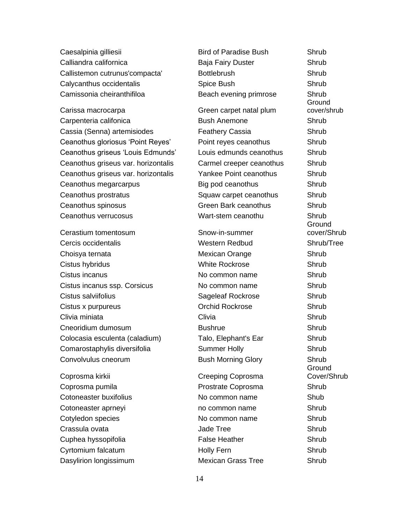Caesalpinia gilliesii accessor and Bird of Paradise Bush Shrub Calliandra californica Baja Fairy Duster Shrub Callistemon cutrunus'compacta' Bottlebrush Shrub Calycanthus occidentalis Spice Bush Shrub Camissonia cheiranthifiloa **Beach evening primrose** Shrub

Carpenteria califonica Bush Anemone Shrub Cassia (Senna) artemisiodes Feathery Cassia Shrub Ceanothus gloriosus 'Point Reyes' Point reyes ceanothus Shrub Ceanothus griseus 'Louis Edmunds' Louis edmunds ceanothus Shrub Ceanothus griseus var. horizontalis Carmel creeper ceanothus Shrub Ceanothus griseus var. horizontalis Yankee Point ceanothus Shrub Ceanothus megarcarpus Big pod ceanothus Shrub Ceanothus prostratus The Squaw carpet ceanothus Shrub Ceanothus spinosus Green Bark ceanothus Shrub Ceanothus verrucosus Wart-stem ceanothu Shrub

Cerastium tomentosum Snow-in-summer Cercis occidentalis Western Redbud Shrub/Tree Choisya ternata Mexican Orange Shrub Cistus hybridus White Rockrose Shrub Cistus incanus No common name Shrub Cistus incanus ssp. Corsicus No common name Shrub Cistus salviifolius Sageleaf Rockrose Shrub Cistus x purpureus Orchid Rockrose Shrub Clivia miniata Clivia Shrub Cneoridium dumosum Bushrue Shrub Colocasia esculenta (caladium) Talo, Elephant's Ear Shrub Comarostaphylis diversifolia Summer Holly Shrub Convolvulus cneorum **Bush Morning Glory** Shrub

Coprosma pumila Prostrate Coprosma Shrub Cotoneaster buxifolius No common name Shub Cotoneaster aprneyi **no common name** Shrub Cotyledon species **No common name** Shrub Crassula ovata Jade Tree Shrub Cuphea hyssopifolia etter and the False Heather Shrub Shrub Cyrtomium falcatum **Example 3** Holly Fern Shrub Dasylirion longissimum **Mexican Grass Tree** Shrub

Carissa macrocarpa Green carpet natal plum

Coprosma kirkii Creeping Coprosma

**Ground** cover/shrub **Ground** cover/Shrub Ground Cover/Shrub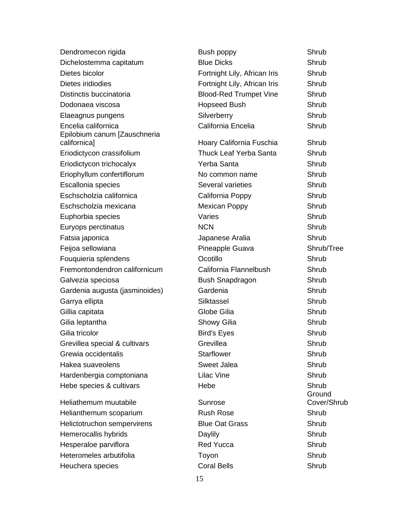| Dendromecon rigida                                  | Bush poppy                    | Shrub                 |
|-----------------------------------------------------|-------------------------------|-----------------------|
| Dichelostemma capitatum                             | <b>Blue Dicks</b>             | Shrub                 |
| Dietes bicolor                                      | Fortnight Lily, African Iris  | Shrub                 |
| Dietes iridiodies                                   | Fortnight Lily, African Iris  | Shrub                 |
| Distinctis buccinatoria                             | <b>Blood-Red Trumpet Vine</b> | Shrub                 |
| Dodonaea viscosa                                    | <b>Hopseed Bush</b>           | Shrub                 |
| Elaeagnus pungens                                   | Silverberry                   | Shrub                 |
| Encelia californica<br>Epilobium canum [Zauschneria | California Encelia            | Shrub                 |
| californica]                                        | Hoary California Fuschia      | Shrub                 |
| Eriodictycon crassifolium                           | <b>Thuck Leaf Yerba Santa</b> | Shrub                 |
| Eriodictycon trichocalyx                            | Yerba Santa                   | Shrub                 |
| Eriophyllum confertiflorum                          | No common name                | Shrub                 |
| Escallonia species                                  | Several varieties             | Shrub                 |
| Eschscholzia californica                            | California Poppy              | Shrub                 |
| Eschscholzia mexicana                               | <b>Mexican Poppy</b>          | Shrub                 |
| Euphorbia species                                   | Varies                        | Shrub                 |
| Euryops perctinatus                                 | <b>NCN</b>                    | Shrub                 |
| Fatsia japonica                                     | Japanese Aralia               | Shrub                 |
| Feijoa sellowiana                                   | Pineapple Guava               | Shrub/Tree            |
| Fouquieria splendens                                | Ocotillo                      | Shrub                 |
| Fremontondendron californicum                       | California Flannelbush        | Shrub                 |
| Galvezia speciosa                                   | <b>Bush Snapdragon</b>        | Shrub                 |
| Gardenia augusta (jasminoides)                      | Gardenia                      | Shrub                 |
| Garrya ellipta                                      | Silktassel                    | Shrub                 |
| Gillia capitata                                     | Globe Gilia                   | Shrub                 |
| Gilia leptantha                                     | Showy Gilia                   | Shrub                 |
| Gilia tricolor                                      | <b>Bird's Eyes</b>            | Shrub                 |
| Grevillea special & cultivars                       | Grevillea                     | Shrub                 |
| Grewia occidentalis                                 | <b>Starflower</b>             | Shrub                 |
| Hakea suaveolens                                    | Sweet Jalea                   | Shrub                 |
| Hardenbergia comptoniana                            | <b>Lilac Vine</b>             | Shrub                 |
| Hebe species & cultivars                            | Hebe                          | Shrub                 |
| Heliathemum muutabile                               | Sunrose                       | Ground<br>Cover/Shrub |
| Helianthemum scoparium                              | <b>Rush Rose</b>              | Shrub                 |
| Helictotruchon sempervirens                         | <b>Blue Oat Grass</b>         | Shrub                 |
| Hemerocallis hybrids                                | Daylily                       | Shrub                 |
| Hesperaloe parviflora                               | <b>Red Yucca</b>              | Shrub                 |
| Heteromeles arbutifolia                             | Toyon                         | Shrub                 |
| Heuchera species                                    | <b>Coral Bells</b>            | Shrub                 |
|                                                     |                               |                       |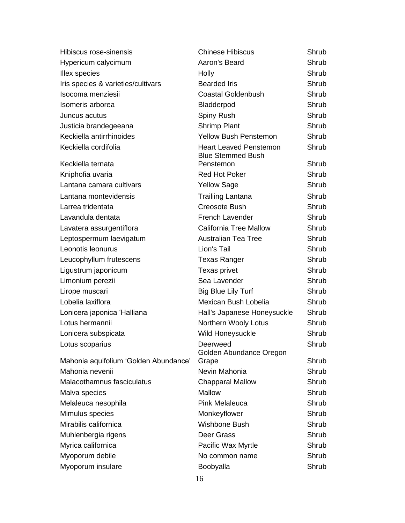| Hibiscus rose-sinensis                | <b>Chinese Hibiscus</b>                                   | Shrub |
|---------------------------------------|-----------------------------------------------------------|-------|
| Hypericum calycimum                   | Aaron's Beard                                             | Shrub |
| Illex species                         | Holly                                                     | Shrub |
| Iris species & varieties/cultivars    | <b>Bearded Iris</b>                                       | Shrub |
| Isocoma menziesii                     | <b>Coastal Goldenbush</b>                                 | Shrub |
| Isomeris arborea                      | Bladderpod                                                | Shrub |
| Juncus acutus                         | Spiny Rush                                                | Shrub |
| Justicia brandegeeana                 | Shrimp Plant                                              | Shrub |
| Keckiella antirrhinoides              | <b>Yellow Bush Penstemon</b>                              | Shrub |
| Keckiella cordifolia                  | <b>Heart Leaved Penstemon</b><br><b>Blue Stemmed Bush</b> | Shrub |
| Keckiella ternata                     | Penstemon                                                 | Shrub |
| Kniphofia uvaria                      | <b>Red Hot Poker</b>                                      | Shrub |
| Lantana camara cultivars              | <b>Yellow Sage</b>                                        | Shrub |
| Lantana montevidensis                 | <b>Trailiing Lantana</b>                                  | Shrub |
| Larrea tridentata                     | <b>Creosote Bush</b>                                      | Shrub |
| Lavandula dentata                     | <b>French Lavender</b>                                    | Shrub |
| Lavatera assurgentiflora              | <b>California Tree Mallow</b>                             | Shrub |
| Leptospermum laevigatum               | <b>Australian Tea Tree</b>                                | Shrub |
| Leonotis leonurus                     | Lion's Tail                                               | Shrub |
| Leucophyllum frutescens               | <b>Texas Ranger</b>                                       | Shrub |
| Ligustrum japonicum                   | <b>Texas privet</b>                                       | Shrub |
| Limonium perezii                      | Sea Lavender                                              | Shrub |
| Lirope muscari                        | <b>Big Blue Lily Turf</b>                                 | Shrub |
| Lobelia laxiflora                     | Mexican Bush Lobelia                                      | Shrub |
| Lonicera japonica 'Halliana           | Hall's Japanese Honeysuckle                               | Shrub |
| Lotus hermannii                       | Northern Wooly Lotus                                      | Shrub |
| Lonicera subspicata                   | Wild Honeysuckle                                          | Shrub |
| Lotus scoparius                       | Deerweed<br>Golden Abundance Oregon                       | Shrub |
| Mahonia aquifolium 'Golden Abundance' | Grape                                                     | Shrub |
| Mahonia nevenii                       | Nevin Mahonia                                             | Shrub |
| Malacothamnus fasciculatus            | <b>Chapparal Mallow</b>                                   | Shrub |
| Malva species                         | Mallow                                                    | Shrub |
| Melaleuca nesophila                   | <b>Pink Melaleuca</b>                                     | Shrub |
| Mimulus species                       | Monkeyflower                                              | Shrub |
| Mirabilis californica                 | Wishbone Bush                                             | Shrub |
| Muhlenbergia rigens                   | Deer Grass                                                | Shrub |
| Myrica californica                    | Pacific Wax Myrtle                                        | Shrub |
| Myoporum debile                       | No common name                                            | Shrub |
| Myoporum insulare                     | Boobyalla                                                 | Shrub |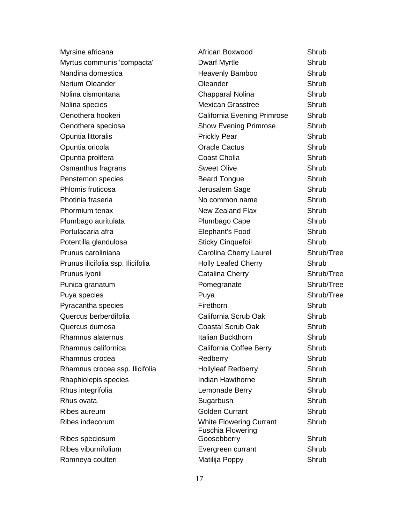| Myrsine africana                  | African Boxwood                                            | Shrub      |
|-----------------------------------|------------------------------------------------------------|------------|
| Myrtus communis 'compacta'        | <b>Dwarf Myrtle</b>                                        | Shrub      |
| Nandina domestica                 | Heavenly Bamboo                                            | Shrub      |
| <b>Nerium Oleander</b>            | Oleander                                                   | Shrub      |
| Nolina cismontana                 | Chapparal Nolina                                           | Shrub      |
| Nolina species                    | <b>Mexican Grasstree</b>                                   | Shrub      |
| Oenothera hookeri                 | California Evening Primrose                                | Shrub      |
| Oenothera speciosa                | <b>Show Evening Primrose</b>                               | Shrub      |
| Opuntia littoralis                | <b>Prickly Pear</b>                                        | Shrub      |
| Opuntia oricola                   | <b>Oracle Cactus</b>                                       | Shrub      |
| Opuntia prolifera                 | Coast Cholla                                               | Shrub      |
| Osmanthus fragrans                | <b>Sweet Olive</b>                                         | Shrub      |
| Penstemon species                 | <b>Beard Tongue</b>                                        | Shrub      |
| Phlomis fruticosa                 | Jerusalem Sage                                             | Shrub      |
| Photinia fraseria                 | No common name                                             | Shrub      |
| Phormium tenax                    | <b>New Zealand Flax</b>                                    | Shrub      |
| Plumbago auritulata               | Plumbago Cape                                              | Shrub      |
| Portulacaria afra                 | Elephant's Food                                            | Shrub      |
| Potentilla glandulosa             | <b>Sticky Cinquefoil</b>                                   | Shrub      |
| Prunus caroliniana                | Carolina Cherry Laurel                                     | Shrub/Tree |
| Prunus ilicifolia ssp. Ilicifolia | <b>Holly Leafed Cherry</b>                                 | Shrub      |
| Prunus Iyonii                     | Catalina Cherry                                            | Shrub/Tree |
| Punica granatum                   | Pomegranate                                                | Shrub/Tree |
| Puya species                      | Puya                                                       | Shrub/Tree |
| Pyracantha species                | Firethorn                                                  | Shrub      |
| Quercus berberdifolia             | California Scrub Oak                                       | Shrub      |
| Quercus dumosa                    | <b>Coastal Scrub Oak</b>                                   | Shrub      |
| Rhamnus alaternus                 | Italian Buckthorn                                          | Shrub      |
| Rhamnus californica               | California Coffee Berry                                    | Shrub      |
| Rhamnus crocea                    | Redberry                                                   | Shrub      |
| Rhamnus crocea ssp. Ilicifolia    | <b>Hollyleaf Redberry</b>                                  | Shrub      |
| Rhaphiolepis species              | Indian Hawthorne                                           | Shrub      |
| Rhus integrifolia                 | Lemonade Berry                                             | Shrub      |
| Rhus ovata                        | Sugarbush                                                  | Shrub      |
| Ribes aureum                      | <b>Golden Currant</b>                                      | Shrub      |
| Ribes indecorum                   | <b>White Flowering Currant</b><br><b>Fuschia Flowering</b> | Shrub      |
| Ribes speciosum                   | Goosebberry                                                | Shrub      |
| Ribes viburnifolium               | Evergreen currant                                          | Shrub      |
| Romneya coulteri                  | Matilija Poppy                                             | Shrub      |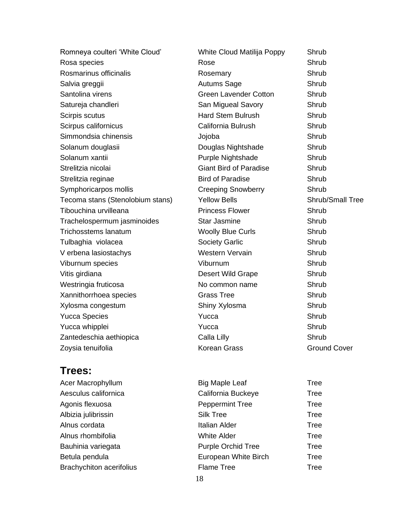| Romneya coulteri 'White Cloud'   | White Cloud Matilija Poppy    | Shrub                   |
|----------------------------------|-------------------------------|-------------------------|
| Rosa species                     | Rose                          | Shrub                   |
| Rosmarinus officinalis           | Rosemary                      | Shrub                   |
| Salvia greggii                   | <b>Autums Sage</b>            | Shrub                   |
| Santolina virens                 | <b>Green Lavender Cotton</b>  | Shrub                   |
| Satureja chandleri               | San Migueal Savory            | Shrub                   |
| Scirpis scutus                   | <b>Hard Stem Bulrush</b>      | Shrub                   |
| Scirpus californicus             | California Bulrush            | Shrub                   |
| Simmondsia chinensis             | Jojoba                        | Shrub                   |
| Solanum douglasii                | Douglas Nightshade            | Shrub                   |
| Solanum xantii                   | Purple Nightshade             | Shrub                   |
| Strelitzia nicolai               | <b>Giant Bird of Paradise</b> | Shrub                   |
| Strelitzia reginae               | <b>Bird of Paradise</b>       | Shrub                   |
| Symphoricarpos mollis            | <b>Creeping Snowberry</b>     | Shrub                   |
| Tecoma stans (Stenolobium stans) | <b>Yellow Bells</b>           | <b>Shrub/Small Tree</b> |
| Tibouchina urvilleana            | <b>Princess Flower</b>        | Shrub                   |
| Trachelospermum jasminoides      | <b>Star Jasmine</b>           | Shrub                   |
| <b>Trichosstems lanatum</b>      | <b>Woolly Blue Curls</b>      | Shrub                   |
| Tulbaghia violacea               | <b>Society Garlic</b>         | Shrub                   |
| V erbena lasiostachys            | <b>Western Vervain</b>        | Shrub                   |
| Viburnum species                 | Viburnum                      | Shrub                   |
| Vitis girdiana                   | Desert Wild Grape             | Shrub                   |
| Westringia fruticosa             | No common name                | Shrub                   |
| Xannithorrhoea species           | <b>Grass Tree</b>             | Shrub                   |
| Xylosma congestum                | Shiny Xylosma                 | Shrub                   |
| <b>Yucca Species</b>             | Yucca                         | Shrub                   |
| Yucca whipplei                   | Yucca                         | Shrub                   |
| Zantedeschia aethiopica          | Calla Lilly                   | Shrub                   |
| Zoysia tenuifolia                | <b>Korean Grass</b>           | <b>Ground Cover</b>     |

### **Trees:**

| Acer Macrophyllum               | <b>Big Maple Leaf</b>     | Tree |
|---------------------------------|---------------------------|------|
| Aesculus californica            | California Buckeye        | Tree |
| Agonis flexuosa                 | <b>Peppermint Tree</b>    | Tree |
| Albizia julibrissin             | <b>Silk Tree</b>          | Tree |
| Alnus cordata                   | <b>Italian Alder</b>      | Tree |
| Alnus rhombifolia               | <b>White Alder</b>        | Tree |
| Bauhinia variegata              | <b>Purple Orchid Tree</b> | Tree |
| Betula pendula                  | European White Birch      | Tree |
| <b>Brachychiton acerifolius</b> | <b>Flame Tree</b>         | Tree |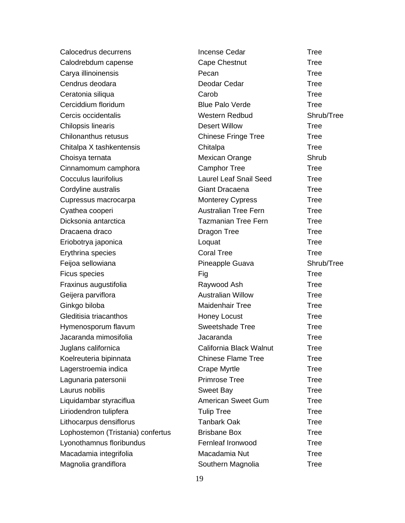| Calocedrus decurrens              | <b>Incense Cedar</b>          | <b>Tree</b> |
|-----------------------------------|-------------------------------|-------------|
| Calodrebdum capense               | <b>Cape Chestnut</b>          | <b>Tree</b> |
| Carya illinoinensis               | Pecan                         | <b>Tree</b> |
| Cendrus deodara                   | Deodar Cedar                  | <b>Tree</b> |
| Ceratonia siliqua                 | Carob                         | <b>Tree</b> |
| Cerciddium floridum               | <b>Blue Palo Verde</b>        | <b>Tree</b> |
| Cercis occidentalis               | <b>Western Redbud</b>         | Shrub/Tree  |
| Chilopsis linearis                | <b>Desert Willow</b>          | <b>Tree</b> |
| Chilonanthus retusus              | <b>Chinese Fringe Tree</b>    | <b>Tree</b> |
| Chitalpa X tashkentensis          | Chitalpa                      | <b>Tree</b> |
| Choisya ternata                   | Mexican Orange                | Shrub       |
| Cinnamomum camphora               | <b>Camphor Tree</b>           | <b>Tree</b> |
| <b>Cocculus laurifolius</b>       | <b>Laurel Leaf Snail Seed</b> | <b>Tree</b> |
| Cordyline australis               | Giant Dracaena                | <b>Tree</b> |
| Cupressus macrocarpa              | <b>Monterey Cypress</b>       | <b>Tree</b> |
| Cyathea cooperi                   | <b>Australian Tree Fern</b>   | <b>Tree</b> |
| Dicksonia antarctica              | <b>Tazmanian Tree Fern</b>    | <b>Tree</b> |
| Dracaena draco                    | Dragon Tree                   | <b>Tree</b> |
| Eriobotrya japonica               | Loquat                        | <b>Tree</b> |
| Erythrina species                 | <b>Coral Tree</b>             | <b>Tree</b> |
| Feijoa sellowiana                 | Pineapple Guava               | Shrub/Tree  |
| Ficus species                     | Fig                           | <b>Tree</b> |
| Fraxinus augustifolia             | Raywood Ash                   | <b>Tree</b> |
| Geijera parviflora                | <b>Australian Willow</b>      | <b>Tree</b> |
| Ginkgo biloba                     | <b>Maidenhair Tree</b>        | <b>Tree</b> |
| Gleditisia triacanthos            | Honey Locust                  | <b>Tree</b> |
| Hymenosporum flavum               | <b>Sweetshade Tree</b>        | <b>Tree</b> |
| Jacaranda mimosifolia             | Jacaranda                     | <b>Tree</b> |
| Juglans californica               | California Black Walnut       | Tree        |
| Koelreuteria bipinnata            | <b>Chinese Flame Tree</b>     | <b>Tree</b> |
| Lagerstroemia indica              | <b>Crape Myrtle</b>           | <b>Tree</b> |
| Lagunaria patersonii              | <b>Primrose Tree</b>          | <b>Tree</b> |
| Laurus nobilis                    | <b>Sweet Bay</b>              | Tree        |
| Liquidambar styraciflua           | <b>American Sweet Gum</b>     | <b>Tree</b> |
| Liriodendron tulipfera            | <b>Tulip Tree</b>             | <b>Tree</b> |
| Lithocarpus densiflorus           | <b>Tanbark Oak</b>            | Tree        |
| Lophostemon (Tristania) confertus | <b>Brisbane Box</b>           | <b>Tree</b> |
| Lyonothamnus floribundus          | Fernleaf Ironwood             | <b>Tree</b> |
| Macadamia integrifolia            | Macadamia Nut                 | Tree        |
| Magnolia grandiflora              | Southern Magnolia             | <b>Tree</b> |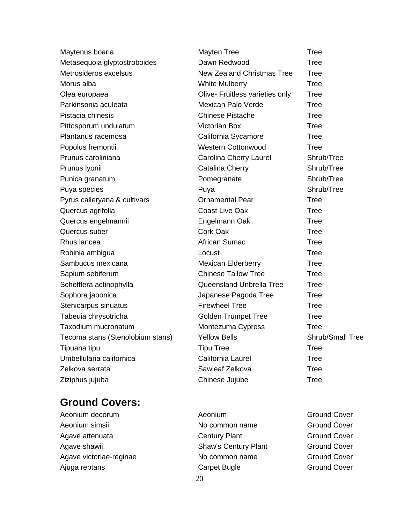| Maytenus boaria                  | <b>Mayten Tree</b>                | <b>Tree</b>      |
|----------------------------------|-----------------------------------|------------------|
| Metasequoia glyptostroboides     | Dawn Redwood                      | <b>Tree</b>      |
| Metrosideros excelsus            | <b>New Zealand Christmas Tree</b> | <b>Tree</b>      |
| Morus alba                       | <b>White Mulberry</b>             | <b>Tree</b>      |
| Olea europaea                    | Olive- Fruitless varieties only   | <b>Tree</b>      |
| Parkinsonia aculeata             | Mexican Palo Verde                | <b>Tree</b>      |
| Pistacia chinesis                | <b>Chinese Pistache</b>           | Tree             |
| Pittosporum undulatum            | <b>Victorian Box</b>              | <b>Tree</b>      |
| Plantanus racemosa               | California Sycamore               | <b>Tree</b>      |
| Popolus fremontii                | <b>Western Cottonwood</b>         | <b>Tree</b>      |
| Prunus caroliniana               | Carolina Cherry Laurel            | Shrub/Tree       |
| Prunus Iyonii                    | Catalina Cherry                   | Shrub/Tree       |
| Punica granatum                  | Pomegranate                       | Shrub/Tree       |
| Puya species                     | Puya                              | Shrub/Tree       |
| Pyrus calleryana & cultivars     | <b>Ornamental Pear</b>            | <b>Tree</b>      |
| Quercus agrifolia                | <b>Coast Live Oak</b>             | <b>Tree</b>      |
| Quercus engelmannii              | Engelmann Oak                     | <b>Tree</b>      |
| Quercus suber                    | <b>Cork Oak</b>                   | <b>Tree</b>      |
| Rhus lancea                      | African Sumac                     | <b>Tree</b>      |
| Robinia ambigua                  | Locust                            | <b>Tree</b>      |
| Sambucus mexicana                | <b>Mexican Elderberry</b>         | <b>Tree</b>      |
| Sapium sebiferum                 | <b>Chinese Tallow Tree</b>        | <b>Tree</b>      |
| Schefflera actinophylla          | Queensland Unbrella Tree          | <b>Tree</b>      |
| Sophora japonica                 | Japanese Pagoda Tree              | <b>Tree</b>      |
| Stenicarpus sinuatus             | <b>Firewheel Tree</b>             | <b>Tree</b>      |
| Tabeuia chrysotricha             | <b>Golden Trumpet Tree</b>        | <b>Tree</b>      |
| Taxodium mucronatum              | Montezuma Cypress                 | <b>Tree</b>      |
| Tecoma stans (Stenolobium stans) | <b>Yellow Bells</b>               | Shrub/Small Tree |
| Tipuana tipu                     | <b>Tipu Tree</b>                  | <b>Tree</b>      |
| Umbellularia californica         | California Laurel                 | <b>Tree</b>      |
| Zelkova serrata                  | Sawleaf Zelkova                   | <b>Tree</b>      |
| Ziziphus jujuba                  | Chinese Jujube                    | <b>Tree</b>      |
|                                  |                                   |                  |

### **Ground Covers:**

- Aeonium simsii **No common name** Ground Cover Agave attenuata and Century Plant Century Plant Ground Cover Agave shawii **Shaw's Century Plant** Ground Cover Agave victoriae-reginae **No common name** Ground Cover
- Aeonium decorum **Aeonium** Aeonium Aeonium **Aeonium** Ground Cover Ajuga reptans **Carpet Bugle** Carpet Bugle Ground Cover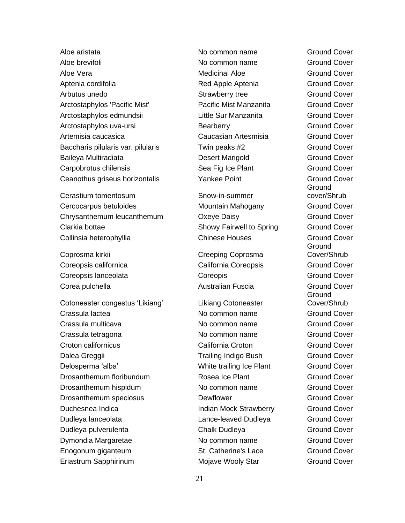Aloe brevifoli **No common name** Ground Cover Aloe Vera **Medicinal Aloe** Ground Cover Aptenia cordifolia **Apple Aptenia** Ground Cover Arbutus unedo Strawberry tree Ground Cover Arctostaphylos 'Pacific Mist' Pacific Mist Manzanita Ground Cover Arctostaphylos edmundsii and Little Sur Manzanita Ground Cover Arctostaphylos uva-ursi **Bearberry** Bearberry **Ground Cover** Artemisia caucasica Caucasian Artesmisia Ground Cover Baccharis pilularis var. pilularis Twin peaks #2 Ground Cover Baileya Multiradiata Desert Marigold Ground Cover Carpobrotus chilensis Sea Fig Ice Plant Ground Cover Ceanothus griseus horizontalis **South American** Yankee Point **Ground Cover** Ground Cover

Cerastium tomentosum states and Snow-in-summer Cercocarpus betuloides Mountain Mahogany Ground Cover Chrysanthemum leucanthemum CXeye Daisy Chrysanthemum Cover Clarkia bottae **Showy Fairwell to Spring Ground Cover** Showy Fairwell to Spring Ground Cover Collinsia heterophyllia Chinese Houses Ground Cover

Coprosma kirkii Creeping Coprosma Coreopsis californica California Coreopsis Coreopsis Coreopsis Coreopsis Coreopsis Coreopsis Coreopsis Coreopsis Coreopsis lanceolata Coreopis Ground Cover Corea pulchella **Australian Fuscia** Ground Cover

Cotoneaster congestus 'Likiang' Likiang Cotoneaster Crassula lactea No common name Ground Cover Crassula multicava No common name Ground Cover Crassula tetragona No common name Ground Cover Croton californicus California Croton Ground Cover Dalea Greggii **National Cover** Trailing Indigo Bush Ground Cover Delosperma 'alba' White trailing Ice Plant Ground Cover Drosanthemum floribundum Rosea Ice Plant Ground Cover Drosanthemum hispidum No common name Ground Cover Drosanthemum speciosus **Dewflower** Dewflower Ground Cover Duchesnea Indica **Indian Mock Strawberry** Ground Cover Dudleya lanceolata Lance-leaved Dudleya Ground Cover Dudleya pulverulenta Chalk Dudleya Ground Cover Dymondia Margaretae No common name Ground Cover Enogonum giganteum St. Catherine's Lace Ground Cover Eriastrum Sapphirinum **Mojave Wooly Star** Ground Cover

Aloe aristata No common name Ground Cover

Ground cover/Shrub **Ground** Cover/Shrub **Ground** Cover/Shrub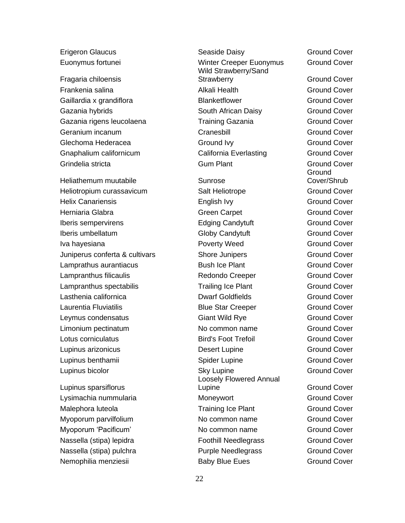Erigeron Glaucus Seaside Daisy Ground Cover

Fragaria chiloensis Frankenia salina Alkali Health Ground Cover Gaillardia x grandiflora **Blanketflower** Blanketflower Ground Cover Gazania hybrids **South African Daisy** Ground Cover Gazania rigens leucolaena Training Gazania Ground Cover Geranium incanum Cranesbill Ground Cover Glechoma Hederacea **Ground Ivy** Ground Ivy Ground Cover Gnaphalium californicum California Everlasting Ground Cover Grindelia stricta Gum Plant Ground Cover

Heliathemum muutabile **Sunrose** Sunrose Heliotropium curassavicum Salt Heliotrope Ground Cover Helix Canariensis English Ivy Ground Cover Herniaria Glabra Green Carpet Green Carpet Ground Cover Iberis sempervirens **Edging Candytuft** Ground Cover Iberis umbellatum Globy Candytuft Ground Cover Iva hayesiana Poverty Weed Ground Cover Juniperus conferta & cultivars Shore Junipers Ground Cover Lamprathus aurantiacus Bush Ice Plant Ground Cover Lampranthus filicaulis Redondo Creeper Ground Cover Lampranthus spectabilis Trailing Ice Plant Ground Cover Lasthenia californica Dwarf Goldfields Ground Cover Laurentia Fluviatilis Blue Star Creeper Ground Cover Leymus condensatus Giant Wild Rye Ground Cover Limonium pectinatum No common name Ground Cover Lotus corniculatus Bird's Foot Trefoil Ground Cover Lupinus arizonicus Desert Lupine Ground Cover Lupinus benthamii Spider Lupine Ground Cover **Lupinus bicolor Cover Cover Sky Lupine Cover Cover Cover Cover Cover Cover Cover Cover Cover Cover Cover Cover** 

Lupinus sparsiflorus Nemophilia menziesii and Baby Blue Eues Ground Cover

Euonymus fortunei Winter Creeper Euonymus Ground Cover Wild Strawberry/Sand Strawberry Ground Cover Loosely Flowered Annual Lupine **Cover** Ground Cover Lysimachia nummularia Moneywort Ground Cover Malephora luteola **Malephora** luteola **Training Ice Plant** Ground Cover Myoporum parvilfolium and the Common name Cover and Cover Myoporum 'Pacificum' No common name Ground Cover Nassella (stipa) lepidra Foothill Needlegrass Ground Cover Nassella (stipa) pulchra Purple Needlegrass Ground Cover

**Ground** Cover/Shrub